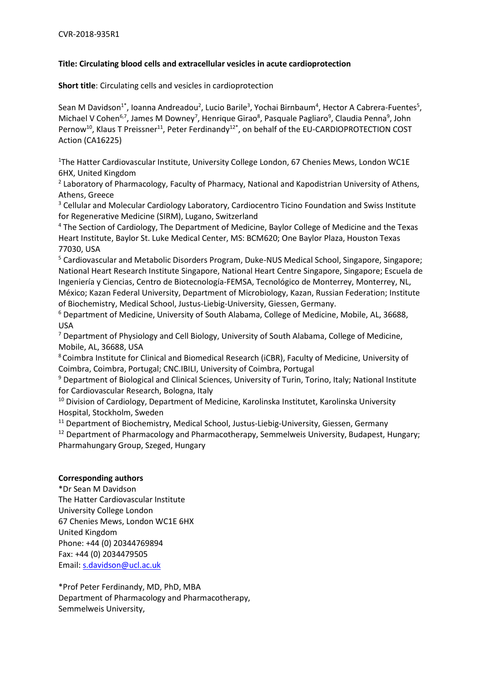#### **Title: Circulating blood cells and extracellular vesicles in acute cardioprotection**

**Short title**: Circulating cells and vesicles in cardioprotection

Sean M Davidson<sup>1\*</sup>, Ioanna Andreadou<sup>2</sup>, Lucio Barile<sup>3</sup>, Yochai Birnbaum<sup>4</sup>, Hector A Cabrera-Fuentes<sup>5</sup>, Michael V Cohen<sup>6,7</sup>, James M Downey<sup>7</sup>, Henrique Girao<sup>8</sup>, Pasquale Pagliaro<sup>9</sup>, Claudia Penna<sup>9</sup>, John Pernow<sup>10</sup>, Klaus T Preissner<sup>11</sup>, Peter Ferdinandy<sup>12\*</sup>, on behalf of the EU-CARDIOPROTECTION COST Action (CA16225)

<sup>1</sup>The Hatter Cardiovascular Institute, University College London, 67 Chenies Mews, London WC1E 6HX, United Kingdom

<sup>2</sup> Laboratory of Pharmacology, Faculty of Pharmacy, National and Kapodistrian University of Athens, Athens, Greece

<sup>3</sup> Cellular and Molecular Cardiology Laboratory, Cardiocentro Ticino Foundation and Swiss Institute for Regenerative Medicine (SIRM), Lugano, Switzerland

<sup>4</sup> The Section of Cardiology, The Department of Medicine, Baylor College of Medicine and the Texas Heart Institute, Baylor St. Luke Medical Center, MS: BCM620; One Baylor Plaza, Houston Texas 77030, USA

<sup>5</sup> Cardiovascular and Metabolic Disorders Program, Duke-NUS Medical School, Singapore, Singapore; National Heart Research Institute Singapore, National Heart Centre Singapore, Singapore; Escuela de Ingeniería y Ciencias, Centro de Biotecnología-FEMSA, Tecnológico de Monterrey, Monterrey, NL, México; Kazan Federal University, Department of Microbiology, Kazan, Russian Federation; Institute of Biochemistry, Medical School, Justus-Liebig-University, Giessen, Germany.

<sup>6</sup> Department of Medicine, University of South Alabama, College of Medicine, Mobile, AL, 36688, USA

<sup>7</sup> Department of Physiology and Cell Biology, University of South Alabama, College of Medicine, Mobile, AL, 36688, USA

<sup>8</sup> Coimbra Institute for Clinical and Biomedical Research (iCBR), Faculty of Medicine, University of Coimbra, Coimbra, Portugal; CNC.IBILI, University of Coimbra, Portugal

<sup>9</sup> Department of Biological and Clinical Sciences, University of Turin, Torino, Italy; National Institute for Cardiovascular Research, Bologna, Italy

 $10$  Division of Cardiology, Department of Medicine, Karolinska Institutet, Karolinska University Hospital, Stockholm, Sweden

<sup>11</sup> Department of Biochemistry, Medical School, Justus-Liebig-University, Giessen, Germany

 $12$  Department of Pharmacology and Pharmacotherapy, Semmelweis University, Budapest, Hungary; Pharmahungary Group, Szeged, Hungary

#### **Corresponding authors**

\*Dr Sean M Davidson The Hatter Cardiovascular Institute University College London 67 Chenies Mews, London WC1E 6HX United Kingdom Phone: +44 (0) 20344769894 Fax: +44 (0) 2034479505 Email: [s.davidson@ucl.ac.uk](mailto:s.davidson@ucl.ac.uk)

\*Prof Peter Ferdinandy, MD, PhD, MBA Department of Pharmacology and Pharmacotherapy, Semmelweis University,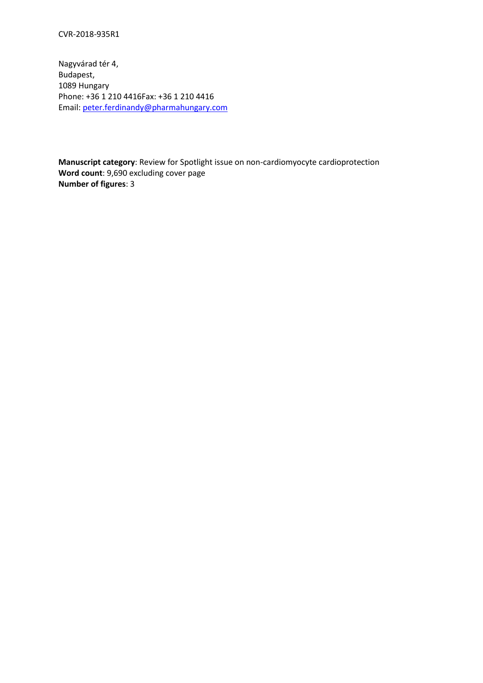Nagyvárad tér 4, Budapest, 1089 Hungary Phone: +36 1 210 4416Fax: +36 1 210 4416 Email: [peter.ferdinandy@pharmahungary.com](mailto:peter.ferdinandy@pharmahungary.com)

**Manuscript category**: Review for Spotlight issue on non-cardiomyocyte cardioprotection **Word count**: 9,690 excluding cover page **Number of figures**: 3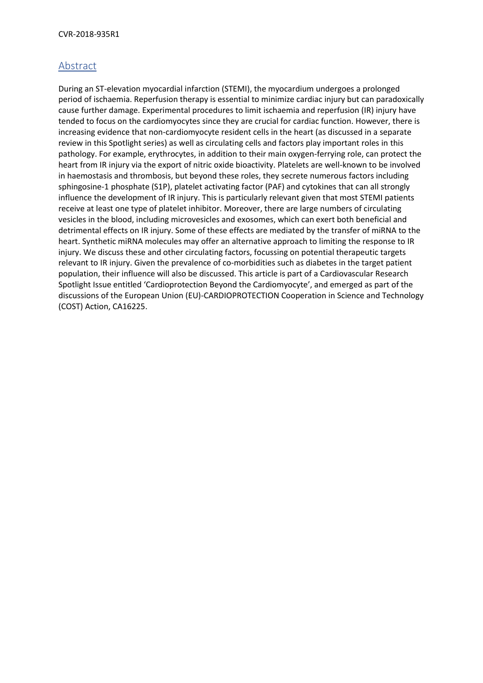### Abstract

During an ST-elevation myocardial infarction (STEMI), the myocardium undergoes a prolonged period of ischaemia. Reperfusion therapy is essential to minimize cardiac injury but can paradoxically cause further damage. Experimental procedures to limit ischaemia and reperfusion (IR) injury have tended to focus on the cardiomyocytes since they are crucial for cardiac function. However, there is increasing evidence that non-cardiomyocyte resident cells in the heart (as discussed in a separate review in this Spotlight series) as well as circulating cells and factors play important roles in this pathology. For example, erythrocytes, in addition to their main oxygen-ferrying role, can protect the heart from IR injury via the export of nitric oxide bioactivity. Platelets are well-known to be involved in haemostasis and thrombosis, but beyond these roles, they secrete numerous factors including sphingosine-1 phosphate (S1P), platelet activating factor (PAF) and cytokines that can all strongly influence the development of IR injury. This is particularly relevant given that most STEMI patients receive at least one type of platelet inhibitor. Moreover, there are large numbers of circulating vesicles in the blood, including microvesicles and exosomes, which can exert both beneficial and detrimental effects on IR injury. Some of these effects are mediated by the transfer of miRNA to the heart. Synthetic miRNA molecules may offer an alternative approach to limiting the response to IR injury. We discuss these and other circulating factors, focussing on potential therapeutic targets relevant to IR injury. Given the prevalence of co-morbidities such as diabetes in the target patient population, their influence will also be discussed. This article is part of a Cardiovascular Research Spotlight Issue entitled 'Cardioprotection Beyond the Cardiomyocyte', and emerged as part of the discussions of the European Union (EU)-CARDIOPROTECTION Cooperation in Science and Technology (COST) Action, CA16225.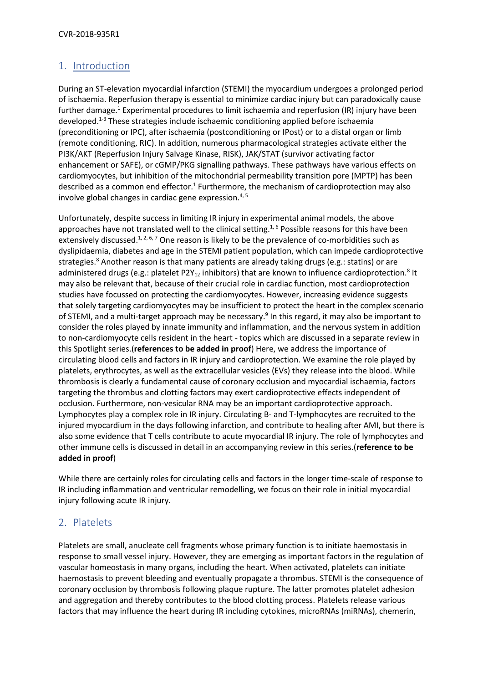## 1. Introduction

During an ST-elevation myocardial infarction (STEMI) the myocardium undergoes a prolonged period of ischaemia. Reperfusion therapy is essential to minimize cardiac injury but can paradoxically cause further damage.<sup>1</sup> Experimental procedures to limit ischaemia and reperfusion (IR) injury have been developed. $1-3$  These strategies include ischaemic conditioning applied before ischaemia (preconditioning or IPC), after ischaemia (postconditioning or IPost) or to a distal organ or limb (remote conditioning, RIC). In addition, numerous pharmacological strategies activate either the PI3K/AKT (Reperfusion Injury Salvage Kinase, RISK), JAK/STAT (survivor activating factor enhancement or SAFE), or cGMP/PKG signalling pathways. These pathways have various effects on cardiomyocytes, but inhibition of the mitochondrial permeability transition pore (MPTP) has been described as a common end effector.<sup>1</sup> Furthermore, the mechanism of cardioprotection may also involve global changes in cardiac gene expression. $4,5$ 

Unfortunately, despite success in limiting IR injury in experimental animal models, the above approaches have not translated well to the clinical setting.<sup>1, 6</sup> Possible reasons for this have been extensively discussed.<sup>1, 2, 6, 7</sup> One reason is likely to be the prevalence of co-morbidities such as dyslipidaemia, diabetes and age in the STEMI patient population, which can impede cardioprotective strategies.<sup>8</sup> Another reason is that many patients are already taking drugs (e.g.: statins) or are administered drugs (e.g.: platelet P2Y<sub>12</sub> inhibitors) that are known to influence cardioprotection.<sup>8</sup> It may also be relevant that, because of their crucial role in cardiac function, most cardioprotection studies have focussed on protecting the cardiomyocytes. However, increasing evidence suggests that solely targeting cardiomyocytes may be insufficient to protect the heart in the complex scenario of STEMI, and a multi-target approach may be necessary.<sup>9</sup> In this regard, it may also be important to consider the roles played by innate immunity and inflammation, and the nervous system in addition to non-cardiomyocyte cells resident in the heart - topics which are discussed in a separate review in this Spotlight series.(**references to be added in proof**) Here, we address the importance of circulating blood cells and factors in IR injury and cardioprotection. We examine the role played by platelets, erythrocytes, as well as the extracellular vesicles (EVs) they release into the blood. While thrombosis is clearly a fundamental cause of coronary occlusion and myocardial ischaemia, factors targeting the thrombus and clotting factors may exert cardioprotective effects independent of occlusion. Furthermore, non-vesicular RNA may be an important cardioprotective approach. Lymphocytes play a complex role in IR injury. Circulating B- and T-lymphocytes are recruited to the injured myocardium in the days following infarction, and contribute to healing after AMI, but there is also some evidence that T cells contribute to acute myocardial IR injury. The role of lymphocytes and other immune cells is discussed in detail in an accompanying review in this series.(**reference to be added in proof**)

While there are certainly roles for circulating cells and factors in the longer time-scale of response to IR including inflammation and ventricular remodelling, we focus on their role in initial myocardial injury following acute IR injury.

## 2. Platelets

Platelets are small, anucleate cell fragments whose primary function is to initiate haemostasis in response to small vessel injury. However, they are emerging as important factors in the regulation of vascular homeostasis in many organs, including the heart. When activated, platelets can initiate haemostasis to prevent bleeding and eventually propagate a thrombus. STEMI is the consequence of coronary occlusion by thrombosis following plaque rupture. The latter promotes platelet adhesion and aggregation and thereby contributes to the blood clotting process. Platelets release various factors that may influence the heart during IR including cytokines, microRNAs (miRNAs), chemerin,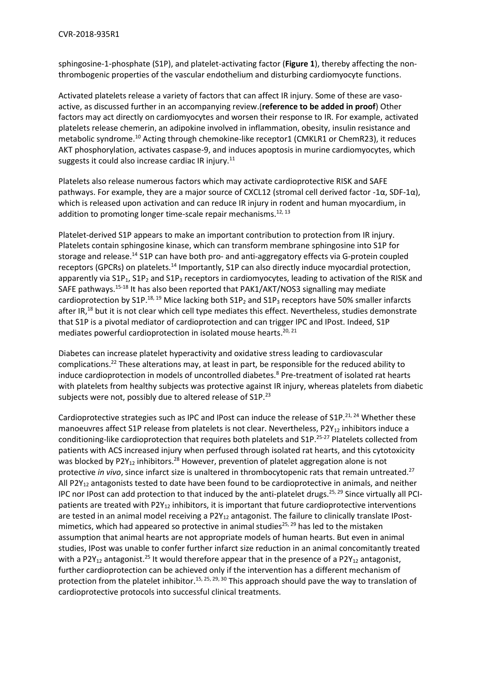sphingosine-1-phosphate (S1P), and platelet-activating factor (**Figure 1**), thereby affecting the nonthrombogenic properties of the vascular endothelium and disturbing cardiomyocyte functions.

Activated platelets release a variety of factors that can affect IR injury. Some of these are vasoactive, as discussed further in an accompanying review.(**reference to be added in proof**) Other factors may act directly on cardiomyocytes and worsen their response to IR. For example, activated platelets release chemerin, an adipokine involved in inflammation, obesity, insulin resistance and metabolic syndrome.<sup>10</sup> Acting through chemokine-like receptor1 (CMKLR1 or ChemR23), it reduces AKT phosphorylation, activates caspase-9, and induces apoptosis in murine cardiomyocytes, which suggests it could also increase cardiac IR injury. $^{11}$ 

Platelets also release numerous factors which may activate cardioprotective RISK and SAFE pathways. For example, they are a major source of CXCL12 (stromal cell derived factor -1α, SDF-1α), which is released upon activation and can reduce IR injury in rodent and human myocardium, in addition to promoting longer time-scale repair mechanisms.<sup>12, 13</sup>

Platelet-derived S1P appears to make an important contribution to protection from IR injury. Platelets contain sphingosine kinase, which can transform membrane sphingosine into S1P for storage and release.<sup>14</sup> S1P can have both pro- and anti-aggregatory effects via G-protein coupled receptors (GPCRs) on platelets.<sup>14</sup> Importantly, S1P can also directly induce myocardial protection, apparently via S1P<sub>1</sub>, S1P<sub>2</sub> and S1P<sub>3</sub> receptors in cardiomyocytes, leading to activation of the RISK and SAFE pathways.15-18 It has also been reported that PAK1/AKT/NOS3 signalling may mediate cardioprotection by S1P.<sup>18, 19</sup> Mice lacking both S1P<sub>2</sub> and S1P<sub>3</sub> receptors have 50% smaller infarcts after IR,<sup>18</sup> but it is not clear which cell type mediates this effect. Nevertheless, studies demonstrate that S1P is a pivotal mediator of cardioprotection and can trigger IPC and IPost. Indeed, S1P mediates powerful cardioprotection in isolated mouse hearts. 20, 21

Diabetes can increase platelet hyperactivity and oxidative stress leading to cardiovascular complications.<sup>22</sup> These alterations may, at least in part, be responsible for the reduced ability to induce cardioprotection in models of uncontrolled diabetes.<sup>8</sup> Pre-treatment of isolated rat hearts with platelets from healthy subjects was protective against IR injury, whereas platelets from diabetic subjects were not, possibly due to altered release of S1P.<sup>23</sup>

Cardioprotective strategies such as IPC and IPost can induce the release of S1P.<sup>21, 24</sup> Whether these manoeuvres affect S1P release from platelets is not clear. Nevertheless, P2Y<sub>12</sub> inhibitors induce a conditioning-like cardioprotection that requires both platelets and S1P.<sup>25-27</sup> Platelets collected from patients with ACS increased injury when perfused through isolated rat hearts, and this cytotoxicity was blocked by P2Y<sub>12</sub> inhibitors.<sup>28</sup> However, prevention of platelet aggregation alone is not protective in vivo, since infarct size is unaltered in thrombocytopenic rats that remain untreated.<sup>27</sup> All P2Y<sub>12</sub> antagonists tested to date have been found to be cardioprotective in animals, and neither IPC nor IPost can add protection to that induced by the anti-platelet drugs.<sup>25, 29</sup> Since virtually all PCIpatients are treated with P2Y<sub>12</sub> inhibitors, it is important that future cardioprotective interventions are tested in an animal model receiving a P2Y $_{12}$  antagonist. The failure to clinically translate IPostmimetics, which had appeared so protective in animal studies<sup>25, 29</sup> has led to the mistaken assumption that animal hearts are not appropriate models of human hearts. But even in animal studies, IPost was unable to confer further infarct size reduction in an animal concomitantly treated with a P2Y<sub>12</sub> antagonist.<sup>25</sup> It would therefore appear that in the presence of a P2Y<sub>12</sub> antagonist, further cardioprotection can be achieved only if the intervention has a different mechanism of protection from the platelet inhibitor.<sup>15, 25, 29, 30</sup> This approach should pave the way to translation of cardioprotective protocols into successful clinical treatments.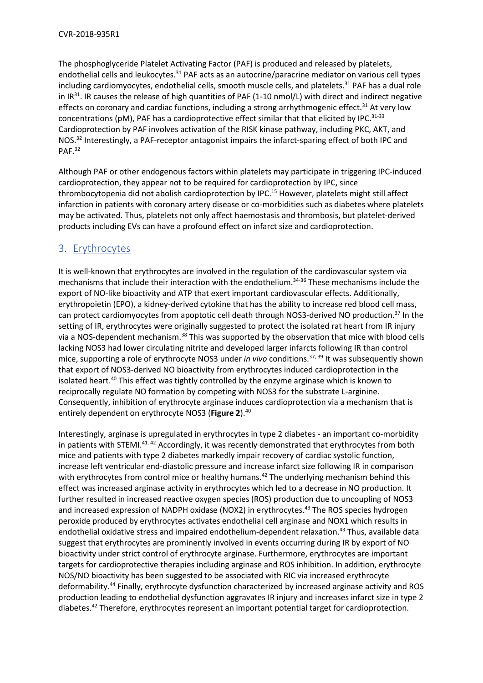The phosphoglyceride Platelet Activating Factor (PAF) is produced and released by platelets, endothelial cells and leukocytes.<sup>31</sup> PAF acts as an autocrine/paracrine mediator on various cell types including cardiomyocytes, endothelial cells, smooth muscle cells, and platelets.<sup>31</sup> PAF has a dual role in IR<sup>31</sup>. IR causes the release of high quantities of PAF (1-10 nmol/L) with direct and indirect negative effects on coronary and cardiac functions, including a strong arrhythmogenic effect.<sup>31</sup> At very low concentrations (pM), PAF has a cardioprotective effect similar that that elicited by IPC.<sup>31-33</sup> Cardioprotection by PAF involves activation of the RISK kinase pathway, including PKC, AKT, and NOS.<sup>32</sup> Interestingly, a PAF-receptor antagonist impairs the infarct-sparing effect of both IPC and PAF.<sup>32</sup>

Although PAF or other endogenous factors within platelets may participate in triggering IPC-induced cardioprotection, they appear not to be required for cardioprotection by IPC, since thrombocytopenia did not abolish cardioprotection by IPC. <sup>15</sup> However, platelets might still affect infarction in patients with coronary artery disease or co-morbidities such as diabetes where platelets may be activated. Thus, platelets not only affect haemostasis and thrombosis, but platelet-derived products including EVs can have a profound effect on infarct size and cardioprotection.

## 3. Erythrocytes

It is well-known that erythrocytes are involved in the regulation of the cardiovascular system via mechanisms that include their interaction with the endothelium.34-36 These mechanisms include the export of NO-like bioactivity and ATP that exert important cardiovascular effects. Additionally, erythropoietin (EPO), a kidney-derived cytokine that has the ability to increase red blood cell mass, can protect cardiomyocytes from apoptotic cell death through NOS3-derived NO production.<sup>37</sup> In the setting of IR, erythrocytes were originally suggested to protect the isolated rat heart from IR injury via a NOS-dependent mechanism.<sup>38</sup> This was supported by the observation that mice with blood cells lacking NOS3 had lower circulating nitrite and developed larger infarcts following IR than control mice, supporting a role of erythrocyte NOS3 under *in vivo* conditions. 37, 39 It was subsequently shown that export of NOS3-derived NO bioactivity from erythrocytes induced cardioprotection in the isolated heart.<sup>40</sup> This effect was tightly controlled by the enzyme arginase which is known to reciprocally regulate NO formation by competing with NOS3 for the substrate L-arginine. Consequently, inhibition of erythrocyte arginase induces cardioprotection via a mechanism that is entirely dependent on erythrocyte NOS3 (**Figure 2**). 40

Interestingly, arginase is upregulated in erythrocytes in type 2 diabetes - an important co-morbidity in patients with STEMI.<sup>41,42</sup> Accordingly, it was recently demonstrated that erythrocytes from both mice and patients with type 2 diabetes markedly impair recovery of cardiac systolic function, increase left ventricular end-diastolic pressure and increase infarct size following IR in comparison with erythrocytes from control mice or healthy humans.<sup>42</sup> The underlying mechanism behind this effect was increased arginase activity in erythrocytes which led to a decrease in NO production. It further resulted in increased reactive oxygen species (ROS) production due to uncoupling of NOS3 and increased expression of NADPH oxidase (NOX2) in erythrocytes. <sup>43</sup> The ROS species hydrogen peroxide produced by erythrocytes activates endothelial cell arginase and NOX1 which results in endothelial oxidative stress and impaired endothelium-dependent relaxation.<sup>43</sup> Thus, available data suggest that erythrocytes are prominently involved in events occurring during IR by export of NO bioactivity under strict control of erythrocyte arginase. Furthermore, erythrocytes are important targets for cardioprotective therapies including arginase and ROS inhibition. In addition, erythrocyte NOS/NO bioactivity has been suggested to be associated with RIC via increased erythrocyte deformability.<sup>44</sup> Finally, erythrocyte dysfunction characterized by increased arginase activity and ROS production leading to endothelial dysfunction aggravates IR injury and increases infarct size in type 2 diabetes. <sup>42</sup> Therefore, erythrocytes represent an important potential target for cardioprotection.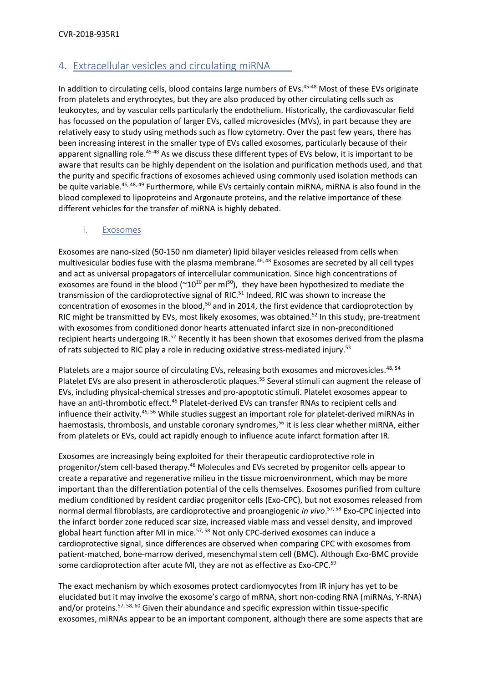# 4. Extracellular vesicles and circulating miRNA

In addition to circulating cells, blood contains large numbers of EVs.<sup>45-48</sup> Most of these EVs originate from platelets and erythrocytes, but they are also produced by other circulating cells such as leukocytes, and by vascular cells particularly the endothelium. Historically, the cardiovascular field has focussed on the population of larger EVs, called microvesicles (MVs), in part because they are relatively easy to study using methods such as flow cytometry. Over the past few years, there has been increasing interest in the smaller type of EVs called exosomes, particularly because of their apparent signalling role.<sup>45-48</sup> As we discuss these different types of EVs below, it is important to be aware that results can be highly dependent on the isolation and purification methods used, and that the purity and specific fractions of exosomes achieved using commonly used isolation methods can be quite variable.<sup>46, 48, 49</sup> Furthermore, while EVs certainly contain miRNA, miRNA is also found in the blood complexed to lipoproteins and Argonaute proteins, and the relative importance of these different vehicles for the transfer of miRNA is highly debated.

#### i. Exosomes

Exosomes are nano-sized (50-150 nm diameter) lipid bilayer vesicles released from cells when multivesicular bodies fuse with the plasma membrane.<sup>46, 48</sup> Exosomes are secreted by all cell types and act as universal propagators of intercellular communication. Since high concentrations of exosomes are found in the blood ( $^{\sim}10^{10}$  per ml<sup>50</sup>), they have been hypothesized to mediate the transmission of the cardioprotective signal of RIC.<sup>51</sup> Indeed, RIC was shown to increase the concentration of exosomes in the blood, $50$  and in 2014, the first evidence that cardioprotection by RIC might be transmitted by EVs, most likely exosomes, was obtained.<sup>52</sup> In this study, pre-treatment with exosomes from conditioned donor hearts attenuated infarct size in non-preconditioned recipient hearts undergoing  $IR^{52}$  Recently it has been shown that exosomes derived from the plasma of rats subjected to RIC play a role in reducing oxidative stress-mediated injury.<sup>53</sup>

Platelets are a major source of circulating EVs, releasing both exosomes and microvesicles.<sup>48, 54</sup> Platelet EVs are also present in atherosclerotic plaques.<sup>55</sup> Several stimuli can augment the release of EVs, including physical-chemical stresses and pro-apoptotic stimuli. Platelet exosomes appear to have an anti-thrombotic effect.<sup>45</sup> Platelet-derived EVs can transfer RNAs to recipient cells and influence their activity.<sup>45, 56</sup> While studies suggest an important role for platelet-derived miRNAs in haemostasis, thrombosis, and unstable coronary syndromes,<sup>56</sup> it is less clear whether miRNA, either from platelets or EVs, could act rapidly enough to influence acute infarct formation after IR.

Exosomes are increasingly being exploited for their therapeutic cardioprotective role in progenitor/stem cell-based therapy.<sup>46</sup> Molecules and EVs secreted by progenitor cells appear to create a reparative and regenerative milieu in the tissue microenvironment, which may be more important than the differentiation potential of the cells themselves. Exosomes purified from culture medium conditioned by resident cardiac progenitor cells (Exo-CPC), but not exosomes released from normal dermal fibroblasts, are cardioprotective and proangiogenic *in vivo*. 57, 58 Exo-CPC injected into the infarct border zone reduced scar size, increased viable mass and vessel density, and improved global heart function after MI in mice.<sup>57, 58</sup> Not only CPC-derived exosomes can induce a cardioprotective signal, since differences are observed when comparing CPC with exosomes from patient-matched, bone-marrow derived, mesenchymal stem cell (BMC). Although Exo-BMC provide some cardioprotection after acute MI, they are not as effective as Exo-CPC.<sup>59</sup>

The exact mechanism by which exosomes protect cardiomyocytes from IR injury has yet to be elucidated but it may involve the exosome's cargo of mRNA, short non-coding RNA (miRNAs, Y-RNA) and/or proteins.<sup>57, 58, 60</sup> Given their abundance and specific expression within tissue-specific exosomes, miRNAs appear to be an important component, although there are some aspects that are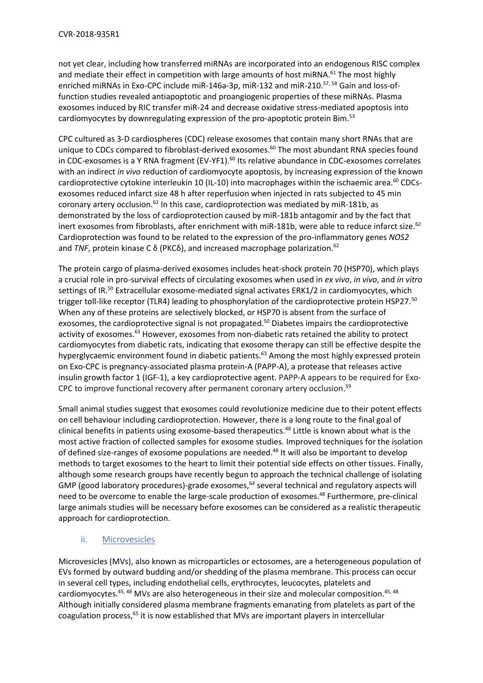not yet clear, including how transferred miRNAs are incorporated into an endogenous RISC complex and mediate their effect in competition with large amounts of host miRNA.<sup>61</sup> The most highly enriched miRNAs in Exo-CPC include miR-146a-3p, miR-132 and miR-210.<sup>57, 58</sup> Gain and loss-offunction studies revealed antiapoptotic and proangiogenic properties of these miRNAs. Plasma exosomes induced by RIC transfer miR-24 and decrease oxidative stress-mediated apoptosis into cardiomyocytes by downregulating expression of the pro-apoptotic protein Bim.<sup>53</sup>

CPC cultured as 3-D cardiospheres (CDC) release exosomes that contain many short RNAs that are unique to CDCs compared to fibroblast-derived exosomes.<sup>60</sup> The most abundant RNA species found in CDC-exosomes is a Y RNA fragment (EV-YF1). $^{60}$  Its relative abundance in CDC-exosomes correlates with an indirect *in vivo* reduction of cardiomyocyte apoptosis, by increasing expression of the known cardioprotective cytokine interleukin 10 (IL-10) into macrophages within the ischaemic area. $^{60}$  CDCsexosomes reduced infarct size 48 h after reperfusion when injected in rats subjected to 45 min coronary artery occlusion.<sup>62</sup> In this case, cardioprotection was mediated by miR-181b, as demonstrated by the loss of cardioprotection caused by miR-181b antagomir and by the fact that inert exosomes from fibroblasts, after enrichment with miR-181b, were able to reduce infarct size.<sup>62</sup> Cardioprotection was found to be related to the expression of the pro-inflammatory genes *NOS2* and *TNF*, protein kinase C δ (PKCδ), and increased macrophage polarization.<sup>62</sup>

The protein cargo of plasma-derived exosomes includes heat-shock protein 70 (HSP70), which plays a crucial role in pro-survival effects of circulating exosomes when used in *ex vivo*, *in vivo*, and *in vitro* settings of IR.<sup>50</sup> Extracellular exosome-mediated signal activates ERK1/2 in cardiomyocytes, which trigger toll-like receptor (TLR4) leading to phosphorylation of the cardioprotective protein HSP27.<sup>50</sup> When any of these proteins are selectively blocked, or HSP70 is absent from the surface of exosomes, the cardioprotective signal is not propagated.<sup>50</sup> Diabetes impairs the cardioprotective activity of exosomes.<sup>63</sup> However, exosomes from non-diabetic rats retained the ability to protect cardiomyocytes from diabetic rats, indicating that exosome therapy can still be effective despite the hyperglycaemic environment found in diabetic patients.<sup>63</sup> Among the most highly expressed protein on Exo-CPC is pregnancy-associated plasma protein-A (PAPP-A), a protease that releases active insulin growth factor 1 (IGF-1), a key cardioprotective agent. PAPP-A appears to be required for Exo-CPC to improve functional recovery after permanent coronary artery occlusion.<sup>59</sup>

Small animal studies suggest that exosomes could revolutionize medicine due to their potent effects on cell behaviour including cardioprotection. However, there is a long route to the final goal of clinical benefits in patients using exosome-based therapeutics. <sup>48</sup> Little is known about what is the most active fraction of collected samples for exosome studies. Improved techniques for the isolation of defined size-ranges of exosome populations are needed. <sup>48</sup> It will also be important to develop methods to target exosomes to the heart to limit their potential side effects on other tissues. Finally, although some research groups have recently begun to approach the technical challenge of isolating GMP (good laboratory procedures)-grade exosomes,<sup>64</sup> several technical and regulatory aspects will need to be overcome to enable the large-scale production of exosomes. <sup>48</sup> Furthermore, pre-clinical large animals studies will be necessary before exosomes can be considered as a realistic therapeutic approach for cardioprotection.

### ii. Microvesicles

Microvesicles (MVs), also known as microparticles or ectosomes, are a heterogeneous population of EVs formed by outward budding and/or shedding of the plasma membrane. This process can occur in several cell types, including endothelial cells, erythrocytes, leucocytes, platelets and cardiomyocytes.<sup>45, 48</sup> MVs are also heterogeneous in their size and molecular composition.<sup>45, 48</sup> Although initially considered plasma membrane fragments emanating from platelets as part of the coagulation process,<sup>65</sup> it is now established that MVs are important players in intercellular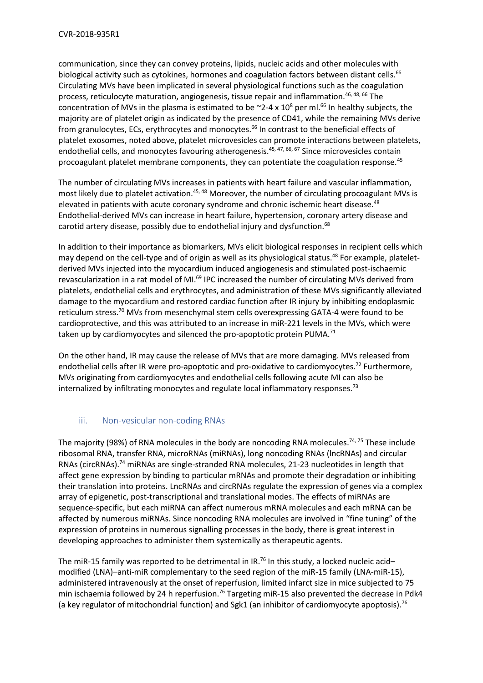communication, since they can convey proteins, lipids, nucleic acids and other molecules with biological activity such as cytokines, hormones and coagulation factors between distant cells.<sup>66</sup> Circulating MVs have been implicated in several physiological functions such as the coagulation process, reticulocyte maturation, angiogenesis, tissue repair and inflammation.46, 48, 66 The concentration of MVs in the plasma is estimated to be  $\sim$ 2-4 x 10<sup>8</sup> per ml.<sup>66</sup> In healthy subjects, the majority are of platelet origin as indicated by the presence of CD41, while the remaining MVs derive from granulocytes, ECs, erythrocytes and monocytes. <sup>66</sup> In contrast to the beneficial effects of platelet exosomes, noted above, platelet microvesicles can promote interactions between platelets, endothelial cells, and monocytes favouring atherogenesis.<sup>45, 47, 66, 67</sup> Since microvesicles contain procoagulant platelet membrane components, they can potentiate the coagulation response.<sup>45</sup>

The number of circulating MVs increases in patients with heart failure and vascular inflammation, most likely due to platelet activation.<sup>45, 48</sup> Moreover, the number of circulating procoagulant MVs is elevated in patients with acute coronary syndrome and chronic ischemic heart disease.<sup>48</sup> Endothelial-derived MVs can increase in heart failure, hypertension, coronary artery disease and carotid artery disease, possibly due to endothelial injury and dysfunction.<sup>68</sup>

In addition to their importance as biomarkers, MVs elicit biological responses in recipient cells which may depend on the cell-type and of origin as well as its physiological status. <sup>48</sup> For example, plateletderived MVs injected into the myocardium induced angiogenesis and stimulated post-ischaemic revascularization in a rat model of MI.<sup>69</sup> IPC increased the number of circulating MVs derived from platelets, endothelial cells and erythrocytes, and administration of these MVs significantly alleviated damage to the myocardium and restored cardiac function after IR injury by inhibiting endoplasmic reticulum stress.<sup>70</sup> MVs from mesenchymal stem cells overexpressing GATA-4 were found to be cardioprotective, and this was attributed to an increase in miR-221 levels in the MVs, which were taken up by cardiomyocytes and silenced the pro-apoptotic protein PUMA.<sup>71</sup>

On the other hand, IR may cause the release of MVs that are more damaging. MVs released from endothelial cells after IR were pro-apoptotic and pro-oxidative to cardiomyocytes.<sup>72</sup> Furthermore, MVs originating from cardiomyocytes and endothelial cells following acute MI can also be internalized by infiltrating monocytes and regulate local inflammatory responses.<sup>73</sup>

### iii. Non-vesicular non-coding RNAs

The majority (98%) of RNA molecules in the body are noncoding RNA molecules.<sup>74,75</sup> These include ribosomal RNA, transfer RNA, microRNAs (miRNAs), long noncoding RNAs (lncRNAs) and circular RNAs (circRNAs).<sup>74</sup> miRNAs are single-stranded RNA molecules, 21-23 nucleotides in length that affect gene expression by binding to particular mRNAs and promote their degradation or inhibiting their translation into proteins. LncRNAs and circRNAs regulate the expression of genes via a complex array of epigenetic, post-transcriptional and translational modes. The effects of miRNAs are sequence-specific, but each miRNA can affect numerous mRNA molecules and each mRNA can be affected by numerous miRNAs. Since noncoding RNA molecules are involved in "fine tuning" of the expression of proteins in numerous signalling processes in the body, there is great interest in developing approaches to administer them systemically as therapeutic agents.

The miR-15 family was reported to be detrimental in IR.<sup>76</sup> In this study, a locked nucleic acidmodified (LNA)–anti-miR complementary to the seed region of the miR-15 family (LNA-miR-15), administered intravenously at the onset of reperfusion, limited infarct size in mice subjected to 75 min ischaemia followed by 24 h reperfusion.<sup>76</sup> Targeting miR-15 also prevented the decrease in Pdk4 (a key regulator of mitochondrial function) and Sgk1 (an inhibitor of cardiomyocyte apoptosis).<sup>76</sup>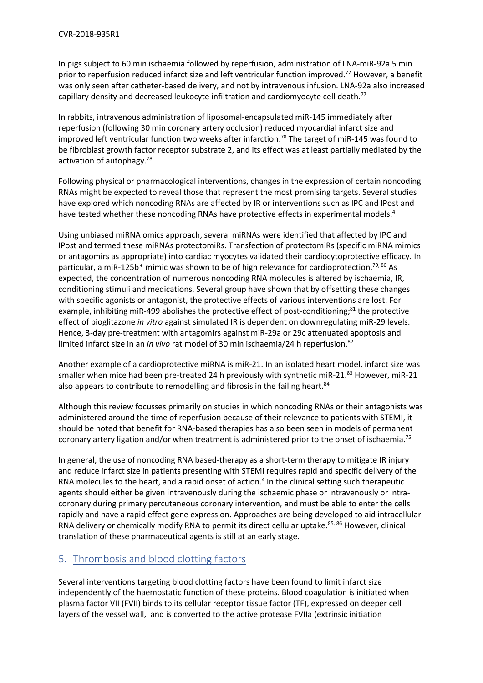In pigs subject to 60 min ischaemia followed by reperfusion, administration of LNA-miR-92a 5 min prior to reperfusion reduced infarct size and left ventricular function improved.<sup>77</sup> However, a benefit was only seen after catheter-based delivery, and not by intravenous infusion. LNA-92a also increased capillary density and decreased leukocyte infiltration and cardiomyocyte cell death.<sup>77</sup>

In rabbits, intravenous administration of liposomal-encapsulated miR-145 immediately after reperfusion (following 30 min coronary artery occlusion) reduced myocardial infarct size and improved left ventricular function two weeks after infarction. <sup>78</sup> The target of miR-145 was found to be fibroblast growth factor receptor substrate 2, and its effect was at least partially mediated by the activation of autophagy.<sup>78</sup>

Following physical or pharmacological interventions, changes in the expression of certain noncoding RNAs might be expected to reveal those that represent the most promising targets. Several studies have explored which noncoding RNAs are affected by IR or interventions such as IPC and IPost and have tested whether these noncoding RNAs have protective effects in experimental models.<sup>4</sup>

Using unbiased miRNA omics approach, several miRNAs were identified that affected by IPC and IPost and termed these miRNAs protectomiRs. Transfection of protectomiRs (specific miRNA mimics or antagomirs as appropriate) into cardiac myocytes validated their cardiocytoprotective efficacy. In particular, a miR-125b\* mimic was shown to be of high relevance for cardioprotection.<sup>79, 80</sup> As expected, the concentration of numerous noncoding RNA molecules is altered by ischaemia, IR, conditioning stimuli and medications. Several group have shown that by offsetting these changes with specific agonists or antagonist, the protective effects of various interventions are lost. For example, inhibiting miR-499 abolishes the protective effect of post-conditioning,<sup>81</sup> the protective effect of pioglitazone *in vitro* against simulated IR is dependent on downregulating miR-29 levels. Hence, 3-day pre-treatment with antagomirs against miR-29a or 29c attenuated apoptosis and limited infarct size in an *in vivo* rat model of 30 min ischaemia/24 h reperfusion. 82

Another example of a cardioprotective miRNA is miR-21. In an isolated heart model, infarct size was smaller when mice had been pre-treated 24 h previously with synthetic miR-21.83 However, miR-21 also appears to contribute to remodelling and fibrosis in the failing heart.<sup>84</sup>

Although this review focusses primarily on studies in which noncoding RNAs or their antagonists was administered around the time of reperfusion because of their relevance to patients with STEMI, it should be noted that benefit for RNA-based therapies has also been seen in models of permanent coronary artery ligation and/or when treatment is administered prior to the onset of ischaemia.<sup>75</sup>

In general, the use of noncoding RNA based-therapy as a short-term therapy to mitigate IR injury and reduce infarct size in patients presenting with STEMI requires rapid and specific delivery of the RNA molecules to the heart, and a rapid onset of action.<sup>4</sup> In the clinical setting such therapeutic agents should either be given intravenously during the ischaemic phase or intravenously or intracoronary during primary percutaneous coronary intervention, and must be able to enter the cells rapidly and have a rapid effect gene expression. Approaches are being developed to aid intracellular RNA delivery or chemically modify RNA to permit its direct cellular uptake.<sup>85, 86</sup> However, clinical translation of these pharmaceutical agents is still at an early stage.

### 5. Thrombosis and blood clotting factors

Several interventions targeting blood clotting factors have been found to limit infarct size independently of the haemostatic function of these proteins. Blood coagulation is initiated when plasma factor VII (FVII) binds to its cellular receptor tissue factor (TF), expressed on deeper cell layers of the vessel wall, and is converted to the active protease FVIIa (extrinsic initiation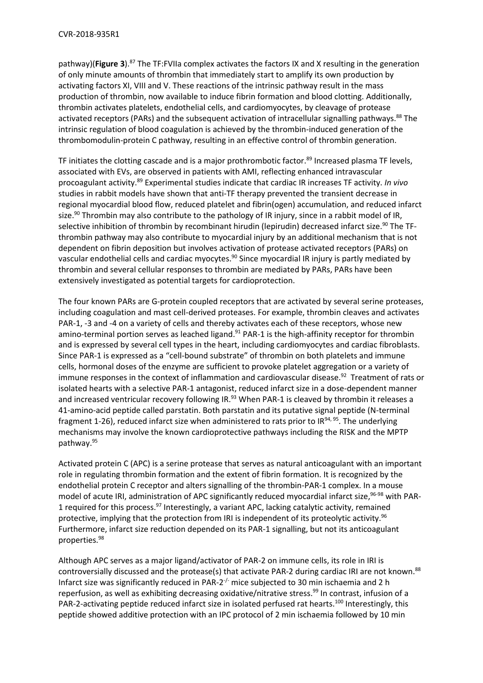pathway)(**Figure 3**). <sup>87</sup> The TF:FVIIa complex activates the factors IX and X resulting in the generation of only minute amounts of thrombin that immediately start to amplify its own production by activating factors XI, VIII and V. These reactions of the intrinsic pathway result in the mass production of thrombin, now available to induce fibrin formation and blood clotting. Additionally, thrombin activates platelets, endothelial cells, and cardiomyocytes, by cleavage of protease activated receptors (PARs) and the subsequent activation of intracellular signalling pathways.<sup>88</sup> The intrinsic regulation of blood coagulation is achieved by the thrombin-induced generation of the thrombomodulin-protein C pathway, resulting in an effective control of thrombin generation.

TF initiates the clotting cascade and is a major prothrombotic factor.<sup>89</sup> Increased plasma TF levels, associated with EVs, are observed in patients with AMI, reflecting enhanced intravascular procoagulant activity. <sup>89</sup> Experimental studies indicate that cardiac IR increases TF activity. *In vivo* studies in rabbit models have shown that anti-TF therapy prevented the transient decrease in regional myocardial blood flow, reduced platelet and fibrin(ogen) accumulation, and reduced infarct size.<sup>90</sup> Thrombin may also contribute to the pathology of IR injury, since in a rabbit model of IR, selective inhibition of thrombin by recombinant hirudin (lepirudin) decreased infarct size.<sup>90</sup> The TFthrombin pathway may also contribute to myocardial injury by an additional mechanism that is not dependent on fibrin deposition but involves activation of protease activated receptors (PARs) on vascular endothelial cells and cardiac myocytes.<sup>90</sup> Since myocardial IR injury is partly mediated by thrombin and several cellular responses to thrombin are mediated by PARs, PARs have been extensively investigated as potential targets for cardioprotection.

The four known PARs are G-protein coupled receptors that are activated by several serine proteases, including coagulation and mast cell-derived proteases. For example, thrombin cleaves and activates PAR-1, -3 and -4 on a variety of cells and thereby activates each of these receptors, whose new amino-terminal portion serves as leached ligand.<sup>91</sup> PAR-1 is the high-affinity receptor for thrombin and is expressed by several cell types in the heart, including cardiomyocytes and cardiac fibroblasts. Since PAR-1 is expressed as a "cell-bound substrate" of thrombin on both platelets and immune cells, hormonal doses of the enzyme are sufficient to provoke platelet aggregation or a variety of immune responses in the context of inflammation and cardiovascular disease.<sup>92</sup> Treatment of rats or isolated hearts with a selective PAR-1 antagonist, reduced infarct size in a dose-dependent manner and increased ventricular recovery following IR.<sup>93</sup> When PAR-1 is cleaved by thrombin it releases a 41-amino-acid peptide called parstatin. Both parstatin and its putative signal peptide (N-terminal fragment 1-26), reduced infarct size when administered to rats prior to IR<sup>94, 95</sup>. The underlying mechanisms may involve the known cardioprotective pathways including the RISK and the MPTP pathway. 95

Activated protein C (APC) is a serine protease that serves as natural anticoagulant with an important role in regulating thrombin formation and the extent of fibrin formation. It is recognized by the endothelial protein C receptor and alters signalling of the thrombin-PAR-1 complex. In a mouse model of acute IRI, administration of APC significantly reduced myocardial infarct size, 96-98 with PAR-1 required for this process.<sup>97</sup> Interestingly, a variant APC, lacking catalytic activity, remained protective, implying that the protection from IRI is independent of its proteolytic activity.<sup>96</sup> Furthermore, infarct size reduction depended on its PAR-1 signalling, but not its anticoagulant properties.<sup>98</sup>

Although APC serves as a major ligand/activator of PAR-2 on immune cells, its role in IRI is controversially discussed and the protease(s) that activate PAR-2 during cardiac IRI are not known.<sup>88</sup> Infarct size was significantly reduced in PAR-2 $\frac{1}{r}$  mice subjected to 30 min ischaemia and 2 h reperfusion, as well as exhibiting decreasing oxidative/nitrative stress.<sup>99</sup> In contrast, infusion of a PAR-2-activating peptide reduced infarct size in isolated perfused rat hearts.<sup>100</sup> Interestingly, this peptide showed additive protection with an IPC protocol of 2 min ischaemia followed by 10 min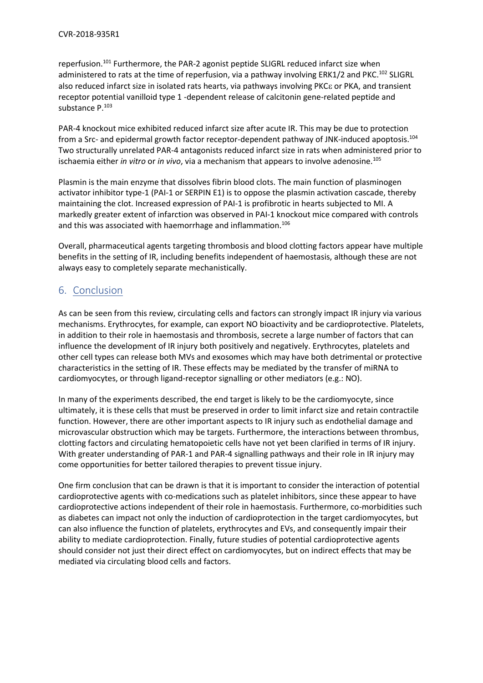reperfusion.<sup>101</sup> Furthermore, the PAR-2 agonist peptide SLIGRL reduced infarct size when administered to rats at the time of reperfusion, via a pathway involving ERK1/2 and PKC.<sup>102</sup> SLIGRL also reduced infarct size in isolated rats hearts, via pathways involving PKC $\varepsilon$  or PKA, and transient receptor potential vanilloid type 1 -dependent release of calcitonin gene-related peptide and substance P.<sup>103</sup>

PAR-4 knockout mice exhibited reduced infarct size after acute IR. This may be due to protection from a Src- and epidermal growth factor receptor-dependent pathway of JNK-induced apoptosis.<sup>104</sup> Two structurally unrelated PAR-4 antagonists reduced infarct size in rats when administered prior to ischaemia either *in vitro* or *in vivo*, via a mechanism that appears to involve adenosine.<sup>105</sup>

Plasmin is the main enzyme that dissolves fibrin blood clots. The main function of plasminogen activator inhibitor type-1 (PAI-1 or SERPIN E1) is to oppose the plasmin activation cascade, thereby maintaining the clot. Increased expression of PAI-1 is profibrotic in hearts subjected to MI. A markedly greater extent of infarction was observed in PAI-1 knockout mice compared with controls and this was associated with haemorrhage and inflammation.<sup>106</sup>

Overall, pharmaceutical agents targeting thrombosis and blood clotting factors appear have multiple benefits in the setting of IR, including benefits independent of haemostasis, although these are not always easy to completely separate mechanistically.

# 6. Conclusion

As can be seen from this review, circulating cells and factors can strongly impact IR injury via various mechanisms. Erythrocytes, for example, can export NO bioactivity and be cardioprotective. Platelets, in addition to their role in haemostasis and thrombosis, secrete a large number of factors that can influence the development of IR injury both positively and negatively. Erythrocytes, platelets and other cell types can release both MVs and exosomes which may have both detrimental or protective characteristics in the setting of IR. These effects may be mediated by the transfer of miRNA to cardiomyocytes, or through ligand-receptor signalling or other mediators (e.g.: NO).

In many of the experiments described, the end target is likely to be the cardiomyocyte, since ultimately, it is these cells that must be preserved in order to limit infarct size and retain contractile function. However, there are other important aspects to IR injury such as endothelial damage and microvascular obstruction which may be targets. Furthermore, the interactions between thrombus, clotting factors and circulating hematopoietic cells have not yet been clarified in terms of IR injury. With greater understanding of PAR-1 and PAR-4 signalling pathways and their role in IR injury may come opportunities for better tailored therapies to prevent tissue injury.

One firm conclusion that can be drawn is that it is important to consider the interaction of potential cardioprotective agents with co-medications such as platelet inhibitors, since these appear to have cardioprotective actions independent of their role in haemostasis. Furthermore, co-morbidities such as diabetes can impact not only the induction of cardioprotection in the target cardiomyocytes, but can also influence the function of platelets, erythrocytes and EVs, and consequently impair their ability to mediate cardioprotection. Finally, future studies of potential cardioprotective agents should consider not just their direct effect on cardiomyocytes, but on indirect effects that may be mediated via circulating blood cells and factors.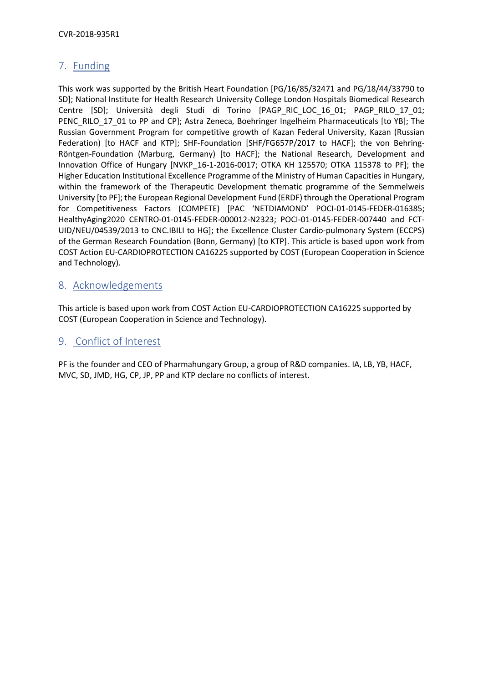## 7. Funding

This work was supported by the British Heart Foundation [PG/16/85/32471 and PG/18/44/33790 to SD]; National Institute for Health Research University College London Hospitals Biomedical Research Centre [SD]; Università degli Studi di Torino [PAGP\_RIC\_LOC\_16\_01; PAGP\_RILO\_17\_01; PENC\_RILO\_17\_01 to PP and CP]; Astra Zeneca, Boehringer Ingelheim Pharmaceuticals [to YB]; The Russian Government Program for competitive growth of Kazan Federal University, Kazan (Russian Federation) [to HACF and KTP]; SHF-Foundation [SHF/FG657P/2017 to HACF]; the von Behring-Röntgen-Foundation (Marburg, Germany) [to HACF]; the National Research, Development and Innovation Office of Hungary [NVKP\_16-1-2016-0017; OTKA KH 125570; OTKA 115378 to PF]; the Higher Education Institutional Excellence Programme of the Ministry of Human Capacities in Hungary, within the framework of the Therapeutic Development thematic programme of the Semmelweis University [to PF]; the European Regional Development Fund (ERDF) through the Operational Program for Competitiveness Factors (COMPETE) [PAC 'NETDIAMOND' POCI-01-0145-FEDER-016385; HealthyAging2020 CENTRO-01-0145-FEDER-000012-N2323; POCI-01-0145-FEDER-007440 and FCT-UID/NEU/04539/2013 to CNC.IBILI to HG]; the Excellence Cluster Cardio-pulmonary System (ECCPS) of the German Research Foundation (Bonn, Germany) [to KTP]. This article is based upon work from COST Action EU-CARDIOPROTECTION CA16225 supported by COST (European Cooperation in Science and Technology).

### 8. Acknowledgements

This article is based upon work from COST Action EU-CARDIOPROTECTION CA16225 supported by COST (European Cooperation in Science and Technology).

### 9. Conflict of Interest

PF is the founder and CEO of Pharmahungary Group, a group of R&D companies. IA, LB, YB, HACF, MVC, SD, JMD, HG, CP, JP, PP and KTP declare no conflicts of interest.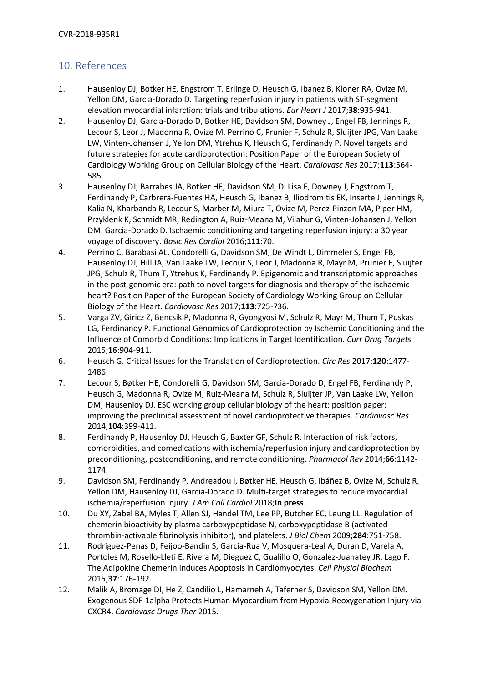## 10. References

- 1. Hausenloy DJ, Botker HE, Engstrom T, Erlinge D, Heusch G, Ibanez B, Kloner RA, Ovize M, Yellon DM, Garcia-Dorado D. Targeting reperfusion injury in patients with ST-segment elevation myocardial infarction: trials and tribulations. *Eur Heart J* 2017;**38**:935-941.
- 2. Hausenloy DJ, Garcia-Dorado D, Botker HE, Davidson SM, Downey J, Engel FB, Jennings R, Lecour S, Leor J, Madonna R, Ovize M, Perrino C, Prunier F, Schulz R, Sluijter JPG, Van Laake LW, Vinten-Johansen J, Yellon DM, Ytrehus K, Heusch G, Ferdinandy P. Novel targets and future strategies for acute cardioprotection: Position Paper of the European Society of Cardiology Working Group on Cellular Biology of the Heart. *Cardiovasc Res* 2017;**113**:564- 585.
- 3. Hausenloy DJ, Barrabes JA, Botker HE, Davidson SM, Di Lisa F, Downey J, Engstrom T, Ferdinandy P, Carbrera-Fuentes HA, Heusch G, Ibanez B, Iliodromitis EK, Inserte J, Jennings R, Kalia N, Kharbanda R, Lecour S, Marber M, Miura T, Ovize M, Perez-Pinzon MA, Piper HM, Przyklenk K, Schmidt MR, Redington A, Ruiz-Meana M, Vilahur G, Vinten-Johansen J, Yellon DM, Garcia-Dorado D. Ischaemic conditioning and targeting reperfusion injury: a 30 year voyage of discovery. *Basic Res Cardiol* 2016;**111**:70.
- 4. Perrino C, Barabasi AL, Condorelli G, Davidson SM, De Windt L, Dimmeler S, Engel FB, Hausenloy DJ, Hill JA, Van Laake LW, Lecour S, Leor J, Madonna R, Mayr M, Prunier F, Sluijter JPG, Schulz R, Thum T, Ytrehus K, Ferdinandy P. Epigenomic and transcriptomic approaches in the post-genomic era: path to novel targets for diagnosis and therapy of the ischaemic heart? Position Paper of the European Society of Cardiology Working Group on Cellular Biology of the Heart. *Cardiovasc Res* 2017;**113**:725-736.
- 5. Varga ZV, Giricz Z, Bencsik P, Madonna R, Gyongyosi M, Schulz R, Mayr M, Thum T, Puskas LG, Ferdinandy P. Functional Genomics of Cardioprotection by Ischemic Conditioning and the Influence of Comorbid Conditions: Implications in Target Identification. *Curr Drug Targets*  2015;**16**:904-911.
- 6. Heusch G. Critical Issues for the Translation of Cardioprotection. *Circ Res* 2017;**120**:1477- 1486.
- 7. Lecour S, Bøtker HE, Condorelli G, Davidson SM, Garcia-Dorado D, Engel FB, Ferdinandy P, Heusch G, Madonna R, Ovize M, Ruiz-Meana M, Schulz R, Sluijter JP, Van Laake LW, Yellon DM, Hausenloy DJ. ESC working group cellular biology of the heart: position paper: improving the preclinical assessment of novel cardioprotective therapies. *Cardiovasc Res*  2014;**104**:399-411.
- 8. Ferdinandy P, Hausenloy DJ, Heusch G, Baxter GF, Schulz R. Interaction of risk factors, comorbidities, and comedications with ischemia/reperfusion injury and cardioprotection by preconditioning, postconditioning, and remote conditioning. *Pharmacol Rev* 2014;**66**:1142- 1174.
- 9. Davidson SM, Ferdinandy P, Andreadou I, Bøtker HE, Heusch G, Ibáñez B, Ovize M, Schulz R, Yellon DM, Hausenloy DJ, Garcia-Dorado D. Multi-target strategies to reduce myocardial ischemia/reperfusion injury. *J Am Coll Cardiol* 2018;**In press**.
- 10. Du XY, Zabel BA, Myles T, Allen SJ, Handel TM, Lee PP, Butcher EC, Leung LL. Regulation of chemerin bioactivity by plasma carboxypeptidase N, carboxypeptidase B (activated thrombin-activable fibrinolysis inhibitor), and platelets. *J Biol Chem* 2009;**284**:751-758.
- 11. Rodriguez-Penas D, Feijoo-Bandin S, Garcia-Rua V, Mosquera-Leal A, Duran D, Varela A, Portoles M, Rosello-Lleti E, Rivera M, Dieguez C, Gualillo O, Gonzalez-Juanatey JR, Lago F. The Adipokine Chemerin Induces Apoptosis in Cardiomyocytes. *Cell Physiol Biochem*  2015;**37**:176-192.
- 12. Malik A, Bromage DI, He Z, Candilio L, Hamarneh A, Taferner S, Davidson SM, Yellon DM. Exogenous SDF-1alpha Protects Human Myocardium from Hypoxia-Reoxygenation Injury via CXCR4. *Cardiovasc Drugs Ther* 2015.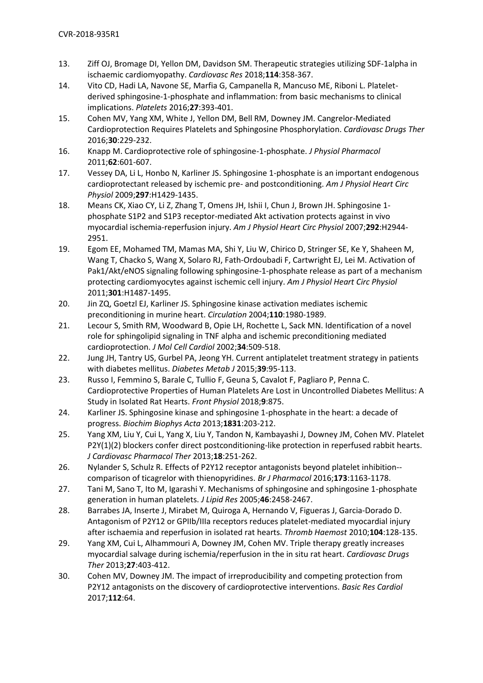- 13. Ziff OJ, Bromage DI, Yellon DM, Davidson SM. Therapeutic strategies utilizing SDF-1alpha in ischaemic cardiomyopathy. *Cardiovasc Res* 2018;**114**:358-367.
- 14. Vito CD, Hadi LA, Navone SE, Marfia G, Campanella R, Mancuso ME, Riboni L. Plateletderived sphingosine-1-phosphate and inflammation: from basic mechanisms to clinical implications. *Platelets* 2016;**27**:393-401.
- 15. Cohen MV, Yang XM, White J, Yellon DM, Bell RM, Downey JM. Cangrelor-Mediated Cardioprotection Requires Platelets and Sphingosine Phosphorylation. *Cardiovasc Drugs Ther*  2016;**30**:229-232.
- 16. Knapp M. Cardioprotective role of sphingosine-1-phosphate. *J Physiol Pharmacol*  2011;**62**:601-607.
- 17. Vessey DA, Li L, Honbo N, Karliner JS. Sphingosine 1-phosphate is an important endogenous cardioprotectant released by ischemic pre- and postconditioning. *Am J Physiol Heart Circ Physiol* 2009;**297**:H1429-1435.
- 18. Means CK, Xiao CY, Li Z, Zhang T, Omens JH, Ishii I, Chun J, Brown JH. Sphingosine 1 phosphate S1P2 and S1P3 receptor-mediated Akt activation protects against in vivo myocardial ischemia-reperfusion injury. *Am J Physiol Heart Circ Physiol* 2007;**292**:H2944- 2951.
- 19. Egom EE, Mohamed TM, Mamas MA, Shi Y, Liu W, Chirico D, Stringer SE, Ke Y, Shaheen M, Wang T, Chacko S, Wang X, Solaro RJ, Fath-Ordoubadi F, Cartwright EJ, Lei M. Activation of Pak1/Akt/eNOS signaling following sphingosine-1-phosphate release as part of a mechanism protecting cardiomyocytes against ischemic cell injury. *Am J Physiol Heart Circ Physiol*  2011;**301**:H1487-1495.
- 20. Jin ZQ, Goetzl EJ, Karliner JS. Sphingosine kinase activation mediates ischemic preconditioning in murine heart. *Circulation* 2004;**110**:1980-1989.
- 21. Lecour S, Smith RM, Woodward B, Opie LH, Rochette L, Sack MN. Identification of a novel role for sphingolipid signaling in TNF alpha and ischemic preconditioning mediated cardioprotection. *J Mol Cell Cardiol* 2002;**34**:509-518.
- 22. Jung JH, Tantry US, Gurbel PA, Jeong YH. Current antiplatelet treatment strategy in patients with diabetes mellitus. *Diabetes Metab J* 2015;**39**:95-113.
- 23. Russo I, Femmino S, Barale C, Tullio F, Geuna S, Cavalot F, Pagliaro P, Penna C. Cardioprotective Properties of Human Platelets Are Lost in Uncontrolled Diabetes Mellitus: A Study in Isolated Rat Hearts. *Front Physiol* 2018;**9**:875.
- 24. Karliner JS. Sphingosine kinase and sphingosine 1-phosphate in the heart: a decade of progress. *Biochim Biophys Acta* 2013;**1831**:203-212.
- 25. Yang XM, Liu Y, Cui L, Yang X, Liu Y, Tandon N, Kambayashi J, Downey JM, Cohen MV. Platelet P2Y(1)(2) blockers confer direct postconditioning-like protection in reperfused rabbit hearts. *J Cardiovasc Pharmacol Ther* 2013;**18**:251-262.
- 26. Nylander S, Schulz R. Effects of P2Y12 receptor antagonists beyond platelet inhibition- comparison of ticagrelor with thienopyridines. *Br J Pharmacol* 2016;**173**:1163-1178.
- 27. Tani M, Sano T, Ito M, Igarashi Y. Mechanisms of sphingosine and sphingosine 1-phosphate generation in human platelets. *J Lipid Res* 2005;**46**:2458-2467.
- 28. Barrabes JA, Inserte J, Mirabet M, Quiroga A, Hernando V, Figueras J, Garcia-Dorado D. Antagonism of P2Y12 or GPIIb/IIIa receptors reduces platelet-mediated myocardial injury after ischaemia and reperfusion in isolated rat hearts. *Thromb Haemost* 2010;**104**:128-135.
- 29. Yang XM, Cui L, Alhammouri A, Downey JM, Cohen MV. Triple therapy greatly increases myocardial salvage during ischemia/reperfusion in the in situ rat heart. *Cardiovasc Drugs Ther* 2013;**27**:403-412.
- 30. Cohen MV, Downey JM. The impact of irreproducibility and competing protection from P2Y12 antagonists on the discovery of cardioprotective interventions. *Basic Res Cardiol*  2017;**112**:64.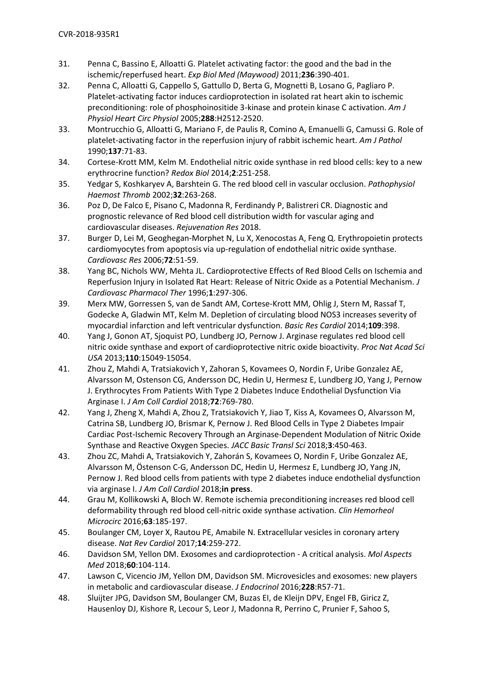- 31. Penna C, Bassino E, Alloatti G. Platelet activating factor: the good and the bad in the ischemic/reperfused heart. *Exp Biol Med (Maywood)* 2011;**236**:390-401.
- 32. Penna C, Alloatti G, Cappello S, Gattullo D, Berta G, Mognetti B, Losano G, Pagliaro P. Platelet-activating factor induces cardioprotection in isolated rat heart akin to ischemic preconditioning: role of phosphoinositide 3-kinase and protein kinase C activation. *Am J Physiol Heart Circ Physiol* 2005;**288**:H2512-2520.
- 33. Montrucchio G, Alloatti G, Mariano F, de Paulis R, Comino A, Emanuelli G, Camussi G. Role of platelet-activating factor in the reperfusion injury of rabbit ischemic heart. *Am J Pathol*  1990;**137**:71-83.
- 34. Cortese-Krott MM, Kelm M. Endothelial nitric oxide synthase in red blood cells: key to a new erythrocrine function? *Redox Biol* 2014;**2**:251-258.
- 35. Yedgar S, Koshkaryev A, Barshtein G. The red blood cell in vascular occlusion. *Pathophysiol Haemost Thromb* 2002;**32**:263-268.
- 36. Poz D, De Falco E, Pisano C, Madonna R, Ferdinandy P, Balistreri CR. Diagnostic and prognostic relevance of Red blood cell distribution width for vascular aging and cardiovascular diseases. *Rejuvenation Res* 2018.
- 37. Burger D, Lei M, Geoghegan-Morphet N, Lu X, Xenocostas A, Feng Q. Erythropoietin protects cardiomyocytes from apoptosis via up-regulation of endothelial nitric oxide synthase. *Cardiovasc Res* 2006;**72**:51-59.
- 38. Yang BC, Nichols WW, Mehta JL. Cardioprotective Effects of Red Blood Cells on Ischemia and Reperfusion Injury in Isolated Rat Heart: Release of Nitric Oxide as a Potential Mechanism. *J Cardiovasc Pharmacol Ther* 1996;**1**:297-306.
- 39. Merx MW, Gorressen S, van de Sandt AM, Cortese-Krott MM, Ohlig J, Stern M, Rassaf T, Godecke A, Gladwin MT, Kelm M. Depletion of circulating blood NOS3 increases severity of myocardial infarction and left ventricular dysfunction. *Basic Res Cardiol* 2014;**109**:398.
- 40. Yang J, Gonon AT, Sjoquist PO, Lundberg JO, Pernow J. Arginase regulates red blood cell nitric oxide synthase and export of cardioprotective nitric oxide bioactivity. *Proc Nat Acad Sci USA* 2013;**110**:15049-15054.
- 41. Zhou Z, Mahdi A, Tratsiakovich Y, Zahoran S, Kovamees O, Nordin F, Uribe Gonzalez AE, Alvarsson M, Ostenson CG, Andersson DC, Hedin U, Hermesz E, Lundberg JO, Yang J, Pernow J. Erythrocytes From Patients With Type 2 Diabetes Induce Endothelial Dysfunction Via Arginase I. *J Am Coll Cardiol* 2018;**72**:769-780.
- 42. Yang J, Zheng X, Mahdi A, Zhou Z, Tratsiakovich Y, Jiao T, Kiss A, Kovamees O, Alvarsson M, Catrina SB, Lundberg JO, Brismar K, Pernow J. Red Blood Cells in Type 2 Diabetes Impair Cardiac Post-Ischemic Recovery Through an Arginase-Dependent Modulation of Nitric Oxide Synthase and Reactive Oxygen Species. *JACC Basic Transl Sci* 2018;**3**:450-463.
- 43. Zhou ZC, Mahdi A, Tratsiakovich Y, Zahorán S, Kovamees O, Nordin F, Uribe Gonzalez AE, Alvarsson M, Östenson C-G, Andersson DC, Hedin U, Hermesz E, Lundberg JO, Yang JN, Pernow J. Red blood cells from patients with type 2 diabetes induce endothelial dysfunction via arginase I. *J Am Coll Cardiol* 2018;**in press**.
- 44. Grau M, Kollikowski A, Bloch W. Remote ischemia preconditioning increases red blood cell deformability through red blood cell-nitric oxide synthase activation. *Clin Hemorheol Microcirc* 2016;**63**:185-197.
- 45. Boulanger CM, Loyer X, Rautou PE, Amabile N. Extracellular vesicles in coronary artery disease. *Nat Rev Cardiol* 2017;**14**:259-272.
- 46. Davidson SM, Yellon DM. Exosomes and cardioprotection A critical analysis. *Mol Aspects Med* 2018;**60**:104-114.
- 47. Lawson C, Vicencio JM, Yellon DM, Davidson SM. Microvesicles and exosomes: new players in metabolic and cardiovascular disease. *J Endocrinol* 2016;**228**:R57-71.
- 48. Sluijter JPG, Davidson SM, Boulanger CM, Buzas EI, de Kleijn DPV, Engel FB, Giricz Z, Hausenloy DJ, Kishore R, Lecour S, Leor J, Madonna R, Perrino C, Prunier F, Sahoo S,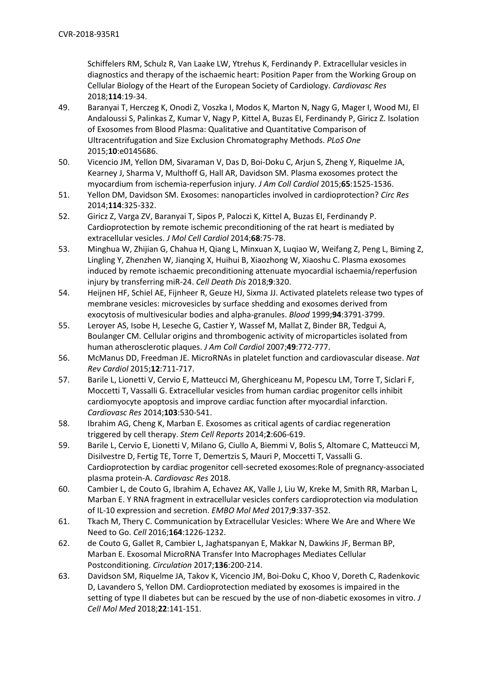Schiffelers RM, Schulz R, Van Laake LW, Ytrehus K, Ferdinandy P. Extracellular vesicles in diagnostics and therapy of the ischaemic heart: Position Paper from the Working Group on Cellular Biology of the Heart of the European Society of Cardiology. *Cardiovasc Res*  2018;**114**:19-34.

- 49. Baranyai T, Herczeg K, Onodi Z, Voszka I, Modos K, Marton N, Nagy G, Mager I, Wood MJ, El Andaloussi S, Palinkas Z, Kumar V, Nagy P, Kittel A, Buzas EI, Ferdinandy P, Giricz Z. Isolation of Exosomes from Blood Plasma: Qualitative and Quantitative Comparison of Ultracentrifugation and Size Exclusion Chromatography Methods. *PLoS One*  2015;**10**:e0145686.
- 50. Vicencio JM, Yellon DM, Sivaraman V, Das D, Boi-Doku C, Arjun S, Zheng Y, Riquelme JA, Kearney J, Sharma V, Multhoff G, Hall AR, Davidson SM. Plasma exosomes protect the myocardium from ischemia-reperfusion injury. *J Am Coll Cardiol* 2015;**65**:1525-1536.
- 51. Yellon DM, Davidson SM. Exosomes: nanoparticles involved in cardioprotection? *Circ Res*  2014;**114**:325-332.
- 52. Giricz Z, Varga ZV, Baranyai T, Sipos P, Paloczi K, Kittel A, Buzas EI, Ferdinandy P. Cardioprotection by remote ischemic preconditioning of the rat heart is mediated by extracellular vesicles. *J Mol Cell Cardiol* 2014;**68**:75-78.
- 53. Minghua W, Zhijian G, Chahua H, Qiang L, Minxuan X, Luqiao W, Weifang Z, Peng L, Biming Z, Lingling Y, Zhenzhen W, Jianqing X, Huihui B, Xiaozhong W, Xiaoshu C. Plasma exosomes induced by remote ischaemic preconditioning attenuate myocardial ischaemia/reperfusion injury by transferring miR-24. *Cell Death Dis* 2018;**9**:320.
- 54. Heijnen HF, Schiel AE, Fijnheer R, Geuze HJ, Sixma JJ. Activated platelets release two types of membrane vesicles: microvesicles by surface shedding and exosomes derived from exocytosis of multivesicular bodies and alpha-granules. *Blood* 1999;**94**:3791-3799.
- 55. Leroyer AS, Isobe H, Leseche G, Castier Y, Wassef M, Mallat Z, Binder BR, Tedgui A, Boulanger CM. Cellular origins and thrombogenic activity of microparticles isolated from human atherosclerotic plaques. *J Am Coll Cardiol* 2007;**49**:772-777.
- 56. McManus DD, Freedman JE. MicroRNAs in platelet function and cardiovascular disease. *Nat Rev Cardiol* 2015;**12**:711-717.
- 57. Barile L, Lionetti V, Cervio E, Matteucci M, Gherghiceanu M, Popescu LM, Torre T, Siclari F, Moccetti T, Vassalli G. Extracellular vesicles from human cardiac progenitor cells inhibit cardiomyocyte apoptosis and improve cardiac function after myocardial infarction. *Cardiovasc Res* 2014;**103**:530-541.
- 58. Ibrahim AG, Cheng K, Marban E. Exosomes as critical agents of cardiac regeneration triggered by cell therapy. *Stem Cell Reports* 2014;**2**:606-619.
- 59. Barile L, Cervio E, Lionetti V, Milano G, Ciullo A, Biemmi V, Bolis S, Altomare C, Matteucci M, Disilvestre D, Fertig TE, Torre T, Demertzis S, Mauri P, Moccetti T, Vassalli G. Cardioprotection by cardiac progenitor cell-secreted exosomes:Role of pregnancy-associated plasma protein-A. *Cardiovasc Res* 2018.
- 60. Cambier L, de Couto G, Ibrahim A, Echavez AK, Valle J, Liu W, Kreke M, Smith RR, Marban L, Marban E. Y RNA fragment in extracellular vesicles confers cardioprotection via modulation of IL-10 expression and secretion. *EMBO Mol Med* 2017;**9**:337-352.
- 61. Tkach M, Thery C. Communication by Extracellular Vesicles: Where We Are and Where We Need to Go. *Cell* 2016;**164**:1226-1232.
- 62. de Couto G, Gallet R, Cambier L, Jaghatspanyan E, Makkar N, Dawkins JF, Berman BP, Marban E. Exosomal MicroRNA Transfer Into Macrophages Mediates Cellular Postconditioning. *Circulation* 2017;**136**:200-214.
- 63. Davidson SM, Riquelme JA, Takov K, Vicencio JM, Boi-Doku C, Khoo V, Doreth C, Radenkovic D, Lavandero S, Yellon DM. Cardioprotection mediated by exosomes is impaired in the setting of type II diabetes but can be rescued by the use of non-diabetic exosomes in vitro. *J Cell Mol Med* 2018;**22**:141-151.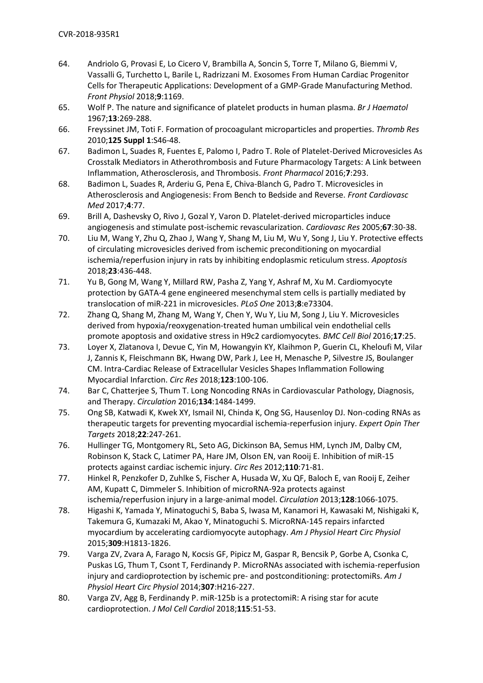- 64. Andriolo G, Provasi E, Lo Cicero V, Brambilla A, Soncin S, Torre T, Milano G, Biemmi V, Vassalli G, Turchetto L, Barile L, Radrizzani M. Exosomes From Human Cardiac Progenitor Cells for Therapeutic Applications: Development of a GMP-Grade Manufacturing Method. *Front Physiol* 2018;**9**:1169.
- 65. Wolf P. The nature and significance of platelet products in human plasma. *Br J Haematol*  1967;**13**:269-288.
- 66. Freyssinet JM, Toti F. Formation of procoagulant microparticles and properties. *Thromb Res*  2010;**125 Suppl 1**:S46-48.
- 67. Badimon L, Suades R, Fuentes E, Palomo I, Padro T. Role of Platelet-Derived Microvesicles As Crosstalk Mediators in Atherothrombosis and Future Pharmacology Targets: A Link between Inflammation, Atherosclerosis, and Thrombosis. *Front Pharmacol* 2016;**7**:293.
- 68. Badimon L, Suades R, Arderiu G, Pena E, Chiva-Blanch G, Padro T. Microvesicles in Atherosclerosis and Angiogenesis: From Bench to Bedside and Reverse. *Front Cardiovasc Med* 2017;**4**:77.
- 69. Brill A, Dashevsky O, Rivo J, Gozal Y, Varon D. Platelet-derived microparticles induce angiogenesis and stimulate post-ischemic revascularization. *Cardiovasc Res* 2005;**67**:30-38.
- 70. Liu M, Wang Y, Zhu Q, Zhao J, Wang Y, Shang M, Liu M, Wu Y, Song J, Liu Y. Protective effects of circulating microvesicles derived from ischemic preconditioning on myocardial ischemia/reperfusion injury in rats by inhibiting endoplasmic reticulum stress. *Apoptosis*  2018;**23**:436-448.
- 71. Yu B, Gong M, Wang Y, Millard RW, Pasha Z, Yang Y, Ashraf M, Xu M. Cardiomyocyte protection by GATA-4 gene engineered mesenchymal stem cells is partially mediated by translocation of miR-221 in microvesicles. *PLoS One* 2013;**8**:e73304.
- 72. Zhang Q, Shang M, Zhang M, Wang Y, Chen Y, Wu Y, Liu M, Song J, Liu Y. Microvesicles derived from hypoxia/reoxygenation-treated human umbilical vein endothelial cells promote apoptosis and oxidative stress in H9c2 cardiomyocytes. *BMC Cell Biol* 2016;**17**:25.
- 73. Loyer X, Zlatanova I, Devue C, Yin M, Howangyin KY, Klaihmon P, Guerin CL, Kheloufi M, Vilar J, Zannis K, Fleischmann BK, Hwang DW, Park J, Lee H, Menasche P, Silvestre JS, Boulanger CM. Intra-Cardiac Release of Extracellular Vesicles Shapes Inflammation Following Myocardial Infarction. *Circ Res* 2018;**123**:100-106.
- 74. Bar C, Chatterjee S, Thum T. Long Noncoding RNAs in Cardiovascular Pathology, Diagnosis, and Therapy. *Circulation* 2016;**134**:1484-1499.
- 75. Ong SB, Katwadi K, Kwek XY, Ismail NI, Chinda K, Ong SG, Hausenloy DJ. Non-coding RNAs as therapeutic targets for preventing myocardial ischemia-reperfusion injury. *Expert Opin Ther Targets* 2018;**22**:247-261.
- 76. Hullinger TG, Montgomery RL, Seto AG, Dickinson BA, Semus HM, Lynch JM, Dalby CM, Robinson K, Stack C, Latimer PA, Hare JM, Olson EN, van Rooij E. Inhibition of miR-15 protects against cardiac ischemic injury. *Circ Res* 2012;**110**:71-81.
- 77. Hinkel R, Penzkofer D, Zuhlke S, Fischer A, Husada W, Xu QF, Baloch E, van Rooij E, Zeiher AM, Kupatt C, Dimmeler S. Inhibition of microRNA-92a protects against ischemia/reperfusion injury in a large-animal model. *Circulation* 2013;**128**:1066-1075.
- 78. Higashi K, Yamada Y, Minatoguchi S, Baba S, Iwasa M, Kanamori H, Kawasaki M, Nishigaki K, Takemura G, Kumazaki M, Akao Y, Minatoguchi S. MicroRNA-145 repairs infarcted myocardium by accelerating cardiomyocyte autophagy. *Am J Physiol Heart Circ Physiol*  2015;**309**:H1813-1826.
- 79. Varga ZV, Zvara A, Farago N, Kocsis GF, Pipicz M, Gaspar R, Bencsik P, Gorbe A, Csonka C, Puskas LG, Thum T, Csont T, Ferdinandy P. MicroRNAs associated with ischemia-reperfusion injury and cardioprotection by ischemic pre- and postconditioning: protectomiRs. *Am J Physiol Heart Circ Physiol* 2014;**307**:H216-227.
- 80. Varga ZV, Agg B, Ferdinandy P. miR-125b is a protectomiR: A rising star for acute cardioprotection. *J Mol Cell Cardiol* 2018;**115**:51-53.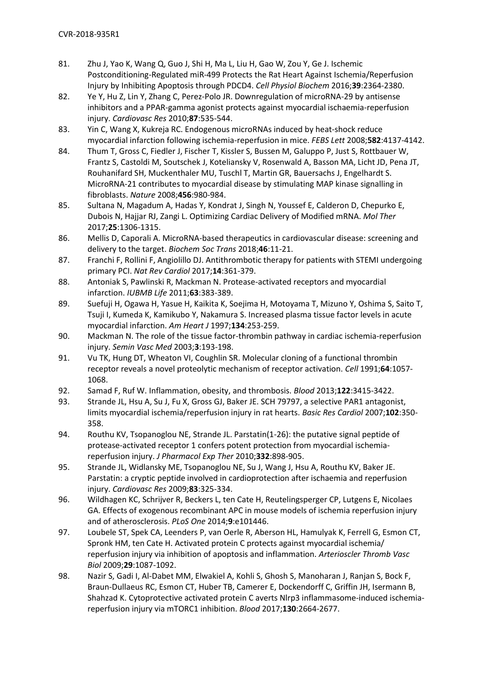- 81. Zhu J, Yao K, Wang Q, Guo J, Shi H, Ma L, Liu H, Gao W, Zou Y, Ge J. Ischemic Postconditioning-Regulated miR-499 Protects the Rat Heart Against Ischemia/Reperfusion Injury by Inhibiting Apoptosis through PDCD4. *Cell Physiol Biochem* 2016;**39**:2364-2380.
- 82. Ye Y, Hu Z, Lin Y, Zhang C, Perez-Polo JR. Downregulation of microRNA-29 by antisense inhibitors and a PPAR-gamma agonist protects against myocardial ischaemia-reperfusion injury. *Cardiovasc Res* 2010;**87**:535-544.
- 83. Yin C, Wang X, Kukreja RC. Endogenous microRNAs induced by heat-shock reduce myocardial infarction following ischemia-reperfusion in mice. *FEBS Lett* 2008;**582**:4137-4142.
- 84. Thum T, Gross C, Fiedler J, Fischer T, Kissler S, Bussen M, Galuppo P, Just S, Rottbauer W, Frantz S, Castoldi M, Soutschek J, Koteliansky V, Rosenwald A, Basson MA, Licht JD, Pena JT, Rouhanifard SH, Muckenthaler MU, Tuschl T, Martin GR, Bauersachs J, Engelhardt S. MicroRNA-21 contributes to myocardial disease by stimulating MAP kinase signalling in fibroblasts. *Nature* 2008;**456**:980-984.
- 85. Sultana N, Magadum A, Hadas Y, Kondrat J, Singh N, Youssef E, Calderon D, Chepurko E, Dubois N, Hajjar RJ, Zangi L. Optimizing Cardiac Delivery of Modified mRNA. *Mol Ther*  2017;**25**:1306-1315.
- 86. Mellis D, Caporali A. MicroRNA-based therapeutics in cardiovascular disease: screening and delivery to the target. *Biochem Soc Trans* 2018;**46**:11-21.
- 87. Franchi F, Rollini F, Angiolillo DJ. Antithrombotic therapy for patients with STEMI undergoing primary PCI. *Nat Rev Cardiol* 2017;**14**:361-379.
- 88. Antoniak S, Pawlinski R, Mackman N. Protease-activated receptors and myocardial infarction. *IUBMB Life* 2011;**63**:383-389.
- 89. Suefuji H, Ogawa H, Yasue H, Kaikita K, Soejima H, Motoyama T, Mizuno Y, Oshima S, Saito T, Tsuji I, Kumeda K, Kamikubo Y, Nakamura S. Increased plasma tissue factor levels in acute myocardial infarction. *Am Heart J* 1997;**134**:253-259.
- 90. Mackman N. The role of the tissue factor-thrombin pathway in cardiac ischemia-reperfusion injury. *Semin Vasc Med* 2003;**3**:193-198.
- 91. Vu TK, Hung DT, Wheaton VI, Coughlin SR. Molecular cloning of a functional thrombin receptor reveals a novel proteolytic mechanism of receptor activation. *Cell* 1991;**64**:1057- 1068.
- 92. Samad F, Ruf W. Inflammation, obesity, and thrombosis. *Blood* 2013;**122**:3415-3422.
- 93. Strande JL, Hsu A, Su J, Fu X, Gross GJ, Baker JE. SCH 79797, a selective PAR1 antagonist, limits myocardial ischemia/reperfusion injury in rat hearts. *Basic Res Cardiol* 2007;**102**:350- 358.
- 94. Routhu KV, Tsopanoglou NE, Strande JL. Parstatin(1-26): the putative signal peptide of protease-activated receptor 1 confers potent protection from myocardial ischemiareperfusion injury. *J Pharmacol Exp Ther* 2010;**332**:898-905.
- 95. Strande JL, Widlansky ME, Tsopanoglou NE, Su J, Wang J, Hsu A, Routhu KV, Baker JE. Parstatin: a cryptic peptide involved in cardioprotection after ischaemia and reperfusion injury. *Cardiovasc Res* 2009;**83**:325-334.
- 96. Wildhagen KC, Schrijver R, Beckers L, ten Cate H, Reutelingsperger CP, Lutgens E, Nicolaes GA. Effects of exogenous recombinant APC in mouse models of ischemia reperfusion injury and of atherosclerosis. *PLoS One* 2014;**9**:e101446.
- 97. Loubele ST, Spek CA, Leenders P, van Oerle R, Aberson HL, Hamulyak K, Ferrell G, Esmon CT, Spronk HM, ten Cate H. Activated protein C protects against myocardial ischemia/ reperfusion injury via inhibition of apoptosis and inflammation. *Arterioscler Thromb Vasc Biol* 2009;**29**:1087-1092.
- 98. Nazir S, Gadi I, Al-Dabet MM, Elwakiel A, Kohli S, Ghosh S, Manoharan J, Ranjan S, Bock F, Braun-Dullaeus RC, Esmon CT, Huber TB, Camerer E, Dockendorff C, Griffin JH, Isermann B, Shahzad K. Cytoprotective activated protein C averts Nlrp3 inflammasome-induced ischemiareperfusion injury via mTORC1 inhibition. *Blood* 2017;**130**:2664-2677.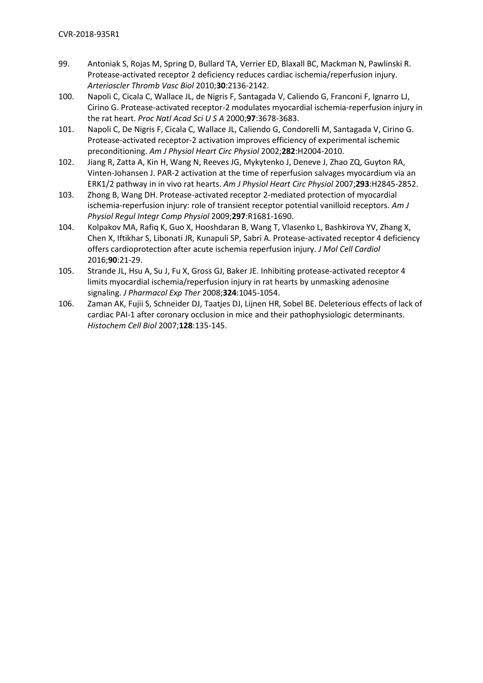- 99. Antoniak S, Rojas M, Spring D, Bullard TA, Verrier ED, Blaxall BC, Mackman N, Pawlinski R. Protease-activated receptor 2 deficiency reduces cardiac ischemia/reperfusion injury. *Arterioscler Thromb Vasc Biol* 2010;**30**:2136-2142.
- 100. Napoli C, Cicala C, Wallace JL, de Nigris F, Santagada V, Caliendo G, Franconi F, Ignarro LJ, Cirino G. Protease-activated receptor-2 modulates myocardial ischemia-reperfusion injury in the rat heart. *Proc Natl Acad Sci U S A* 2000;**97**:3678-3683.
- 101. Napoli C, De Nigris F, Cicala C, Wallace JL, Caliendo G, Condorelli M, Santagada V, Cirino G. Protease-activated receptor-2 activation improves efficiency of experimental ischemic preconditioning. *Am J Physiol Heart Circ Physiol* 2002;**282**:H2004-2010.
- 102. Jiang R, Zatta A, Kin H, Wang N, Reeves JG, Mykytenko J, Deneve J, Zhao ZQ, Guyton RA, Vinten-Johansen J. PAR-2 activation at the time of reperfusion salvages myocardium via an ERK1/2 pathway in in vivo rat hearts. *Am J Physiol Heart Circ Physiol* 2007;**293**:H2845-2852.
- 103. Zhong B, Wang DH. Protease-activated receptor 2-mediated protection of myocardial ischemia-reperfusion injury: role of transient receptor potential vanilloid receptors. *Am J Physiol Regul Integr Comp Physiol* 2009;**297**:R1681-1690.
- 104. Kolpakov MA, Rafiq K, Guo X, Hooshdaran B, Wang T, Vlasenko L, Bashkirova YV, Zhang X, Chen X, Iftikhar S, Libonati JR, Kunapuli SP, Sabri A. Protease-activated receptor 4 deficiency offers cardioprotection after acute ischemia reperfusion injury. *J Mol Cell Cardiol*  2016;**90**:21-29.
- 105. Strande JL, Hsu A, Su J, Fu X, Gross GJ, Baker JE. Inhibiting protease-activated receptor 4 limits myocardial ischemia/reperfusion injury in rat hearts by unmasking adenosine signaling. *J Pharmacol Exp Ther* 2008;**324**:1045-1054.
- 106. Zaman AK, Fujii S, Schneider DJ, Taatjes DJ, Lijnen HR, Sobel BE. Deleterious effects of lack of cardiac PAI-1 after coronary occlusion in mice and their pathophysiologic determinants. *Histochem Cell Biol* 2007;**128**:135-145.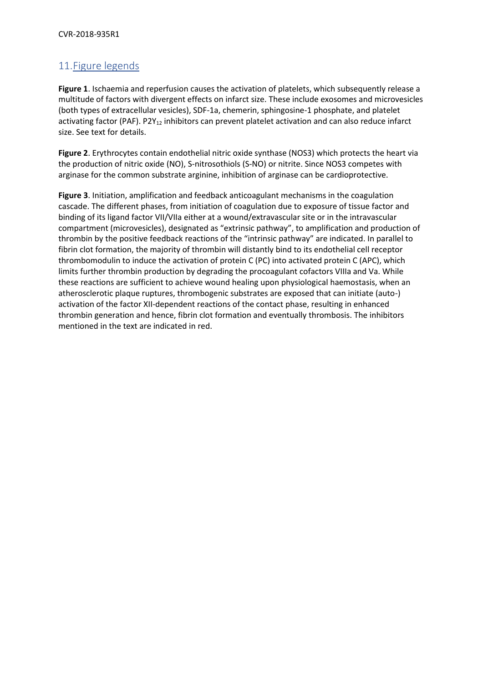## 11.Figure legends

**Figure 1**. Ischaemia and reperfusion causes the activation of platelets, which subsequently release a multitude of factors with divergent effects on infarct size. These include exosomes and microvesicles (both types of extracellular vesicles), SDF-1a, chemerin, sphingosine-1 phosphate, and platelet activating factor (PAF). P2Y<sub>12</sub> inhibitors can prevent platelet activation and can also reduce infarct size. See text for details.

**Figure 2**. Erythrocytes contain endothelial nitric oxide synthase (NOS3) which protects the heart via the production of nitric oxide (NO), S-nitrosothiols (S-NO) or nitrite. Since NOS3 competes with arginase for the common substrate arginine, inhibition of arginase can be cardioprotective.

**Figure 3**. Initiation, amplification and feedback anticoagulant mechanisms in the coagulation cascade. The different phases, from initiation of coagulation due to exposure of tissue factor and binding of its ligand factor VII/VIIa either at a wound/extravascular site or in the intravascular compartment (microvesicles), designated as "extrinsic pathway", to amplification and production of thrombin by the positive feedback reactions of the "intrinsic pathway" are indicated. In parallel to fibrin clot formation, the majority of thrombin will distantly bind to its endothelial cell receptor thrombomodulin to induce the activation of protein C (PC) into activated protein C (APC), which limits further thrombin production by degrading the procoagulant cofactors VIIIa and Va. While these reactions are sufficient to achieve wound healing upon physiological haemostasis, when an atherosclerotic plaque ruptures, thrombogenic substrates are exposed that can initiate (auto-) activation of the factor XII-dependent reactions of the contact phase, resulting in enhanced thrombin generation and hence, fibrin clot formation and eventually thrombosis. The inhibitors mentioned in the text are indicated in red.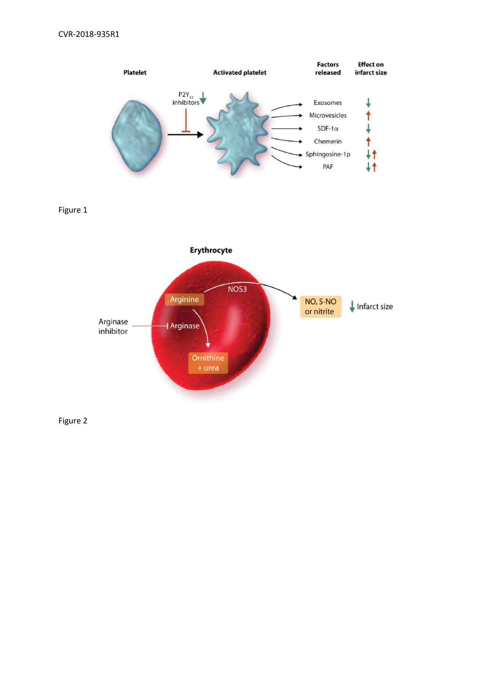

Figure 1



Figure 2